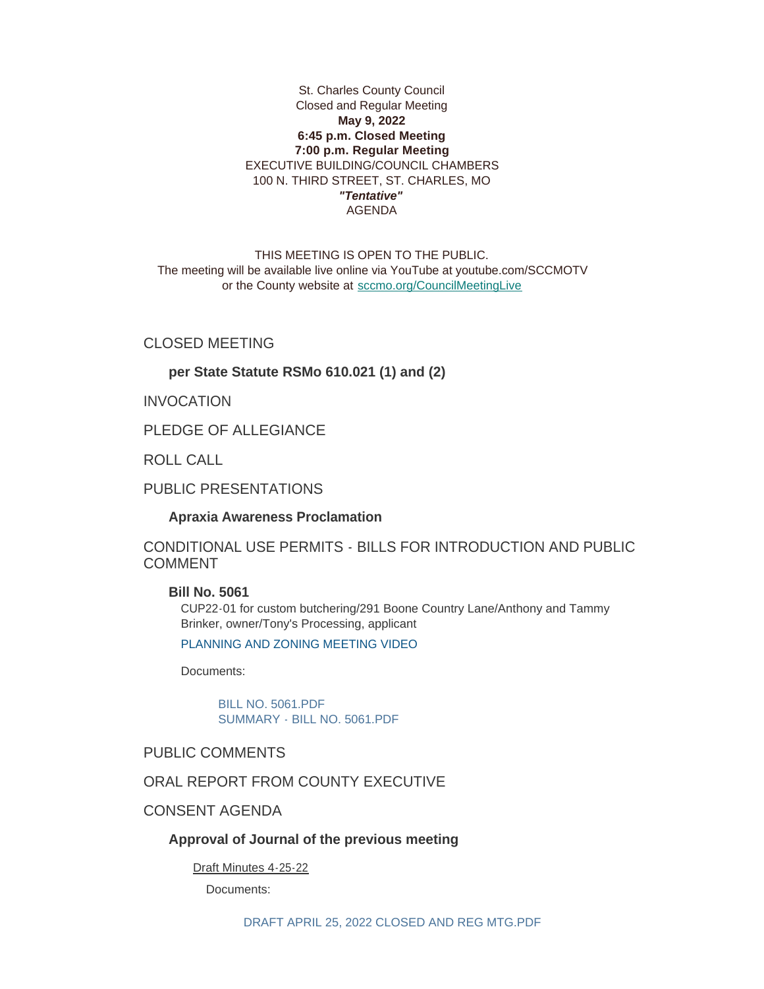### St. Charles County Council Closed and Regular Meeting **May 9, 2022 6:45 p.m. Closed Meeting 7:00 p.m. Regular Meeting** EXECUTIVE BUILDING/COUNCIL CHAMBERS 100 N. THIRD STREET, ST. CHARLES, MO *"Tentative"* AGENDA

THIS MEETING IS OPEN TO THE PUBLIC. The meeting will be available live online via YouTube at youtube.com/SCCMOTV or the County website at [sccmo.org/CouncilMeetingLive](https://sccmo.org/CouncilMeetingLive)

CLOSED MEETING

### **per State Statute RSMo 610.021 (1) and (2)**

INVOCATION

PLEDGE OF ALLEGIANCE

ROLL CALL

PUBLIC PRESENTATIONS

#### **Apraxia Awareness Proclamation**

CONDITIONAL USE PERMITS - BILLS FOR INTRODUCTION AND PUBLIC COMMENT

**Bill No. 5061**

CUP22-01 for custom butchering/291 Boone Country Lane/Anthony and Tammy Brinker, owner/Tony's Processing, applicant

[PLANNING AND ZONING MEETING VIDEO](https://youtu.be/FcRRRmfFqj4?t=628)

Documents:

[BILL NO. 5061.PDF](https://www.sccmo.org/AgendaCenter/ViewFile/Item/10907?fileID=32283) [SUMMARY - BILL NO. 5061.PDF](https://www.sccmo.org/AgendaCenter/ViewFile/Item/10907?fileID=32288)

PUBLIC COMMENTS

ORAL REPORT FROM COUNTY EXECUTIVE

CONSENT AGENDA

### **Approval of Journal of the previous meeting**

Draft Minutes 4-25-22

Documents: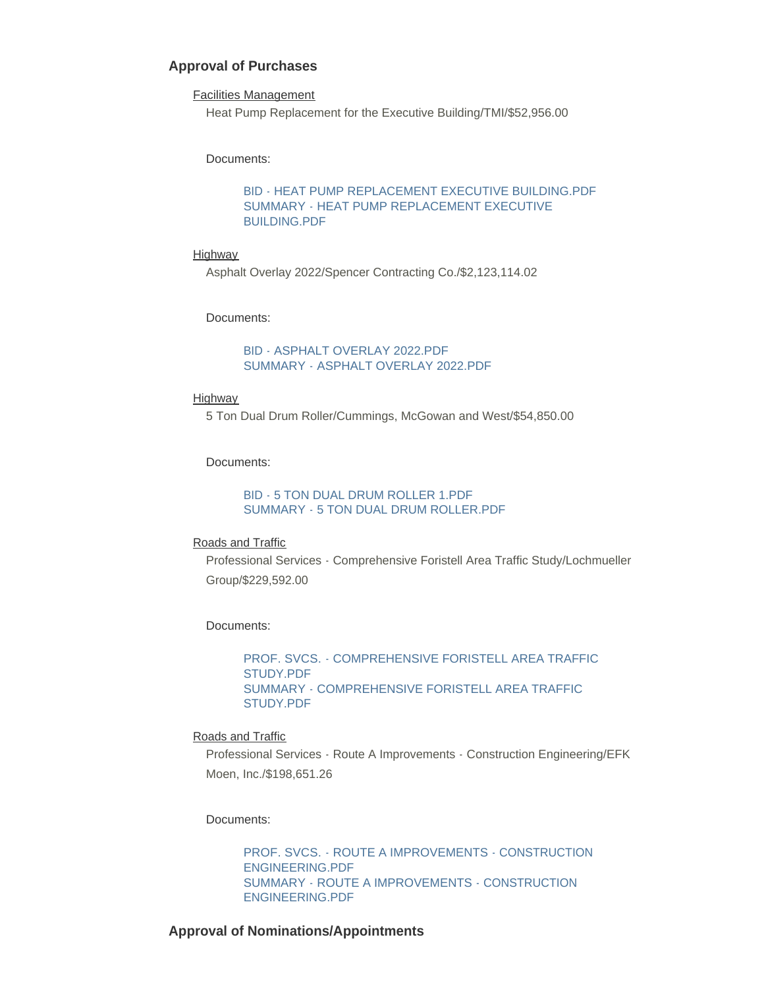### **Approval of Purchases**

#### Facilities Management

Heat Pump Replacement for the Executive Building/TMI/\$52,956.00

#### Documents:

[BID - HEAT PUMP REPLACEMENT EXECUTIVE BUILDING.PDF](https://www.sccmo.org/AgendaCenter/ViewFile/Item/10881?fileID=32207) [SUMMARY - HEAT PUMP REPLACEMENT EXECUTIVE](https://www.sccmo.org/AgendaCenter/ViewFile/Item/10881?fileID=32208)  BUILDING.PDF

#### **Highway**

Asphalt Overlay 2022/Spencer Contracting Co./\$2,123,114.02

#### Documents:

### [BID - ASPHALT OVERLAY 2022.PDF](https://www.sccmo.org/AgendaCenter/ViewFile/Item/10882?fileID=32209) [SUMMARY - ASPHALT OVERLAY 2022.PDF](https://www.sccmo.org/AgendaCenter/ViewFile/Item/10882?fileID=32210)

#### Highway

5 Ton Dual Drum Roller/Cummings, McGowan and West/\$54,850.00

#### Documents:

#### [BID - 5 TON DUAL DRUM ROLLER 1.PDF](https://www.sccmo.org/AgendaCenter/ViewFile/Item/10883?fileID=32211) [SUMMARY - 5 TON DUAL DRUM ROLLER.PDF](https://www.sccmo.org/AgendaCenter/ViewFile/Item/10883?fileID=32212)

#### Roads and Traffic

Professional Services - Comprehensive Foristell Area Traffic Study/Lochmueller Group/\$229,592.00

#### Documents:

[PROF. SVCS. - COMPREHENSIVE FORISTELL AREA TRAFFIC](https://www.sccmo.org/AgendaCenter/ViewFile/Item/10884?fileID=32213)  STUDY.PDF [SUMMARY - COMPREHENSIVE FORISTELL AREA TRAFFIC](https://www.sccmo.org/AgendaCenter/ViewFile/Item/10884?fileID=32214)  STUDY.PDF

#### Roads and Traffic

Professional Services - Route A Improvements - Construction Engineering/EFK Moen, Inc./\$198,651.26

#### Documents:

[PROF. SVCS. - ROUTE A IMPROVEMENTS - CONSTRUCTION](https://www.sccmo.org/AgendaCenter/ViewFile/Item/10885?fileID=32215)  ENGINEERING.PDF [SUMMARY - ROUTE A IMPROVEMENTS - CONSTRUCTION](https://www.sccmo.org/AgendaCenter/ViewFile/Item/10885?fileID=32216)  ENGINEERING.PDF

### **Approval of Nominations/Appointments**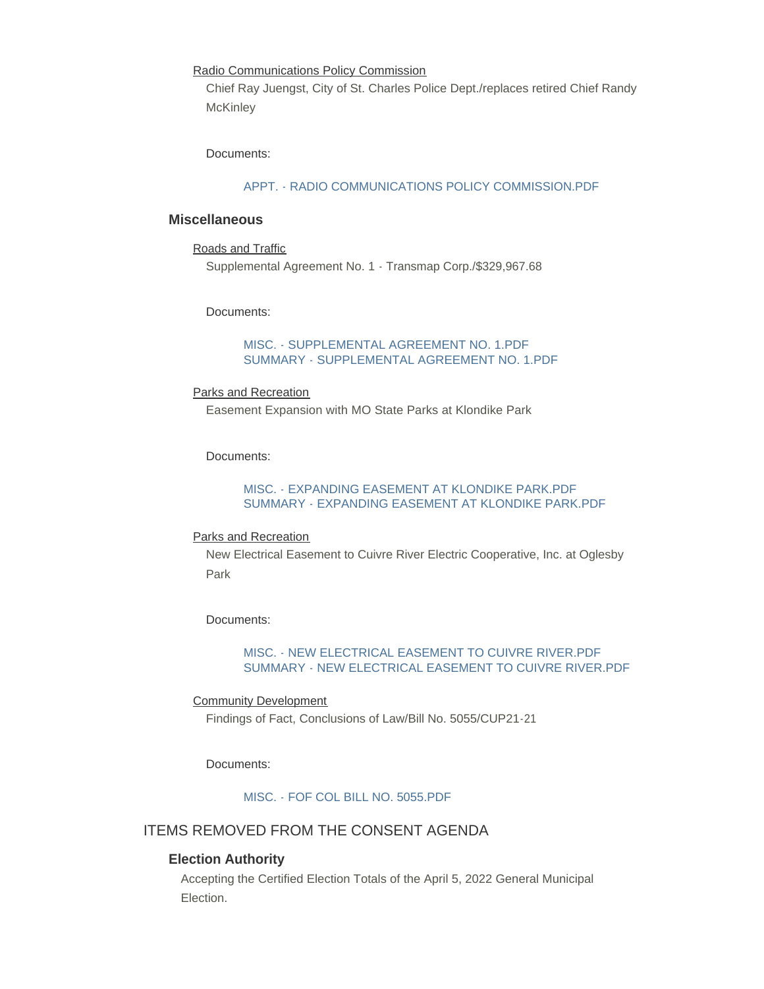Radio Communications Policy Commission

Chief Ray Juengst, City of St. Charles Police Dept./replaces retired Chief Randy **McKinley** 

Documents:

#### [APPT. - RADIO COMMUNICATIONS POLICY COMMISSION.PDF](https://www.sccmo.org/AgendaCenter/ViewFile/Item/10928?fileID=32297)

### **Miscellaneous**

```
Roads and Traffic
```
Supplemental Agreement No. 1 - Transmap Corp./\$329,967.68

Documents:

### [MISC. - SUPPLEMENTAL AGREEMENT NO. 1.PDF](https://www.sccmo.org/AgendaCenter/ViewFile/Item/10886?fileID=32217) [SUMMARY - SUPPLEMENTAL AGREEMENT NO. 1.PDF](https://www.sccmo.org/AgendaCenter/ViewFile/Item/10886?fileID=32218)

#### Parks and Recreation

Easement Expansion with MO State Parks at Klondike Park

Documents:

### [MISC. - EXPANDING EASEMENT AT KLONDIKE PARK.PDF](https://www.sccmo.org/AgendaCenter/ViewFile/Item/10887?fileID=32219) [SUMMARY - EXPANDING EASEMENT AT KLONDIKE PARK.PDF](https://www.sccmo.org/AgendaCenter/ViewFile/Item/10887?fileID=32220)

#### Parks and Recreation

New Electrical Easement to Cuivre River Electric Cooperative, Inc. at Oglesby Park

Documents:

### [MISC. - NEW ELECTRICAL EASEMENT TO CUIVRE RIVER.PDF](https://www.sccmo.org/AgendaCenter/ViewFile/Item/10904?fileID=32226) [SUMMARY - NEW ELECTRICAL EASEMENT TO CUIVRE RIVER.PDF](https://www.sccmo.org/AgendaCenter/ViewFile/Item/10904?fileID=32227)

### Community Development

Findings of Fact, Conclusions of Law/Bill No. 5055/CUP21-21

#### Documents:

[MISC. - FOF COL BILL NO. 5055.PDF](https://www.sccmo.org/AgendaCenter/ViewFile/Item/10930?fileID=32299)

## ITEMS REMOVED FROM THE CONSENT AGENDA

### **Election Authority**

Accepting the Certified Election Totals of the April 5, 2022 General Municipal Election.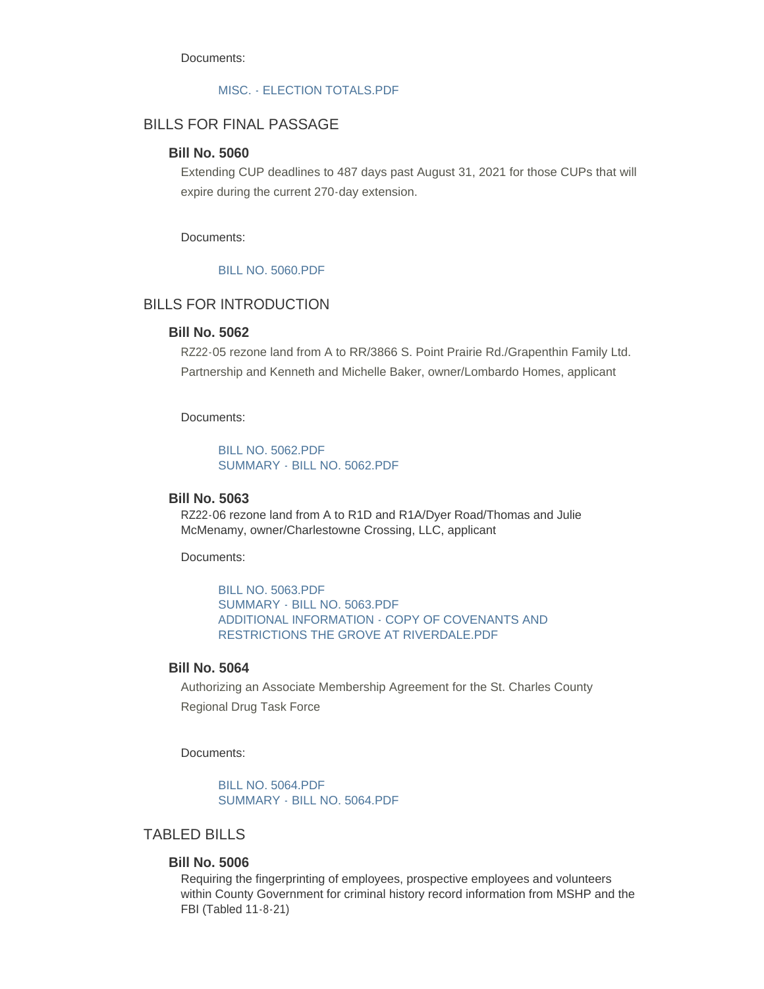Documents:

#### [MISC. - ELECTION TOTALS.PDF](https://www.sccmo.org/AgendaCenter/ViewFile/Item/10898?fileID=32221)

## BILLS FOR FINAL PASSAGE

### **Bill No. 5060**

Extending CUP deadlines to 487 days past August 31, 2021 for those CUPs that will expire during the current 270-day extension.

Documents:

#### [BILL NO. 5060.PDF](https://www.sccmo.org/AgendaCenter/ViewFile/Item/10899?fileID=32222)

# BILLS FOR INTRODUCTION

### **Bill No. 5062**

RZ22-05 rezone land from A to RR/3866 S. Point Prairie Rd./Grapenthin Family Ltd. Partnership and Kenneth and Michelle Baker, owner/Lombardo Homes, applicant

Documents:

[BILL NO. 5062.PDF](https://www.sccmo.org/AgendaCenter/ViewFile/Item/10908?fileID=32284) [SUMMARY - BILL NO. 5062.PDF](https://www.sccmo.org/AgendaCenter/ViewFile/Item/10908?fileID=32285)

#### **Bill No. 5063**

RZ22-06 rezone land from A to R1D and R1A/Dyer Road/Thomas and Julie McMenamy, owner/Charlestowne Crossing, LLC, applicant

Documents:

[BILL NO. 5063.PDF](https://www.sccmo.org/AgendaCenter/ViewFile/Item/10909?fileID=32286) [SUMMARY - BILL NO. 5063.PDF](https://www.sccmo.org/AgendaCenter/ViewFile/Item/10909?fileID=32287) [ADDITIONAL INFORMATION - COPY OF COVENANTS AND](https://www.sccmo.org/AgendaCenter/ViewFile/Item/10909?fileID=32293)  RESTRICTIONS THE GROVE AT RIVERDALE.PDF

## **Bill No. 5064**

Authorizing an Associate Membership Agreement for the St. Charles County Regional Drug Task Force

Documents:

[BILL NO. 5064.PDF](https://www.sccmo.org/AgendaCenter/ViewFile/Item/10910?fileID=32289) [SUMMARY - BILL NO. 5064.PDF](https://www.sccmo.org/AgendaCenter/ViewFile/Item/10910?fileID=32290)

# TABLED BILLS

### **Bill No. 5006**

Requiring the fingerprinting of employees, prospective employees and volunteers within County Government for criminal history record information from MSHP and the FBI (Tabled 11-8-21)